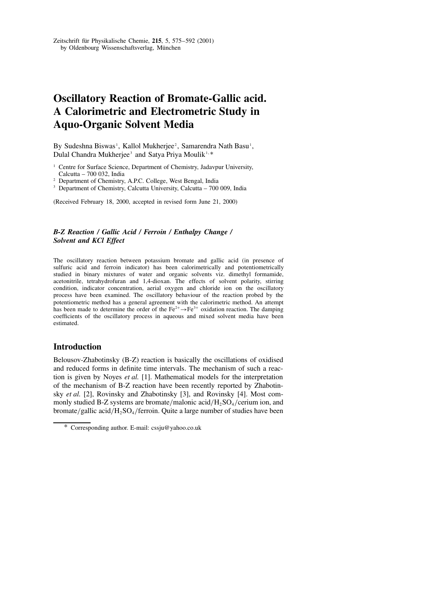# **Oscillatory Reaction of Bromate-Gallic acid. A Calorimetric and Electrometric Study in Aquo-Organic Solvent Media**

By Sudeshna Biswas<sup>1</sup>, Kallol Mukherjee<sup>2</sup>, Samarendra Nath Basu<sup>1</sup>, Dulal Chandra Mukherjee<sup>3</sup> and Satya Priya Moulik<sup>1,∗</sup>

- <sup>1</sup> Centre for Surface Science, Department of Chemistry, Jadavpur University, Calcutta – 700 032, India
- <sup>2</sup> Department of Chemistry, A.P.C. College, West Bengal, India
- <sup>3</sup> Department of Chemistry, Calcutta University, Calcutta 700 009, India

(Received February 18, 2000, accepted in revised form June 21, 2000)

#### *B-Z Reaction / Gallic Acid / Ferroin / Enthalpy Change / Solvent and KCl Effect*

The oscillatory reaction between potassium bromate and gallic acid (in presence of sulfuric acid and ferroin indicator) has been calorimetrically and potentiometrically studied in binary mixtures of water and organic solvents viz. dimethyl formamide, acetonitrile, tetrahydrofuran and 1,4-dioxan. The effects of solvent polarity, stirring condition, indicator concentration, aerial oxygen and chloride ion on the oscillatory process have been examined. The oscillatory behaviour of the reaction probed by the potentiometric method has a general agreement with the calorimetric method. An attempt has been made to determine the order of the  $Fe^{2+} \rightarrow Fe^{3+}$  oxidation reaction. The damping coefficients of the oscillatory process in aqueous and mixed solvent media have been estimated.

# **Introduction**

Belousov-Zhabotinsky (B-Z) reaction is basically the oscillations of oxidised and reduced forms in definite time intervals. The mechanism of such a reaction is given by Noyes *et al.* [1]. Mathematical models for the interpretation of the mechanism of B-Z reaction have been recently reported by Zhabotinsky *et al.* [2], Rovinsky and Zhabotinsky [3], and Rovinsky [4]. Most commonly studied B-Z systems are bromate/malonic acid/ $H_2SO_4$ /cerium ion, and bromate/gallic acid/ $H_2SO_4$ /ferroin. Quite a large number of studies have been

<sup>\*</sup> Corresponding author. E-mail: cssju@yahoo.co.uk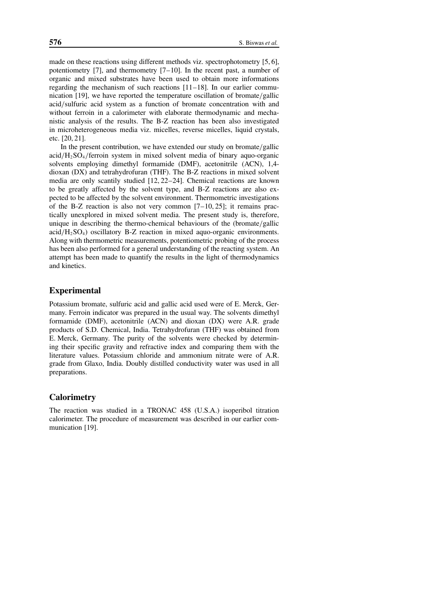made on these reactions using different methods viz. spectrophotometry [5, 6], potentiometry [7], and thermometry  $[7-10]$ . In the recent past, a number of organic and mixed substrates have been used to obtain more informations regarding the mechanism of such reactions [11–18]. In our earlier communication [19], we have reported the temperature oscillation of bromate/gallic acid/sulfuric acid system as a function of bromate concentration with and without ferroin in a calorimeter with elaborate thermodynamic and mechanistic analysis of the results. The B-Z reaction has been also investigated in microheterogeneous media viz. micelles, reverse micelles, liquid crystals, etc. [20, 21].

In the present contribution, we have extended our study on bromate/gallic  $\text{acid}/\text{H}_2\text{SO}_4/\text{ferroin}$  system in mixed solvent media of binary aquo-organic solvents employing dimethyl formamide (DMF), acetonitrile (ACN), 1,4 dioxan (DX) and tetrahydrofuran (THF). The B-Z reactions in mixed solvent media are only scantily studied [12, 22–24]. Chemical reactions are known to be greatly affected by the solvent type, and B-Z reactions are also expected to be affected by the solvent environment. Thermometric investigations of the B-Z reaction is also not very common [7–10, 25]; it remains practically unexplored in mixed solvent media. The present study is, therefore, unique in describing the thermo-chemical behaviours of the (bromate/gallic  $\text{acid}/\text{H}_2\text{SO}_4$ ) oscillatory B-Z reaction in mixed aquo-organic environments. Along with thermometric measurements, potentiometric probing of the process has been also performed for a general understanding of the reacting system. An attempt has been made to quantify the results in the light of thermodynamics and kinetics.

# **Experimental**

Potassium bromate, sulfuric acid and gallic acid used were of E. Merck, Germany. Ferroin indicator was prepared in the usual way. The solvents dimethyl formamide (DMF), acetonitrile (ACN) and dioxan (DX) were A.R. grade products of S.D. Chemical, India. Tetrahydrofuran (THF) was obtained from E. Merck, Germany. The purity of the solvents were checked by determining their specific gravity and refractive index and comparing them with the literature values. Potassium chloride and ammonium nitrate were of A.R. grade from Glaxo, India. Doubly distilled conductivity water was used in all preparations.

# **Calorimetry**

The reaction was studied in a TRONAC 458 (U.S.A.) isoperibol titration calorimeter. The procedure of measurement was described in our earlier communication [19].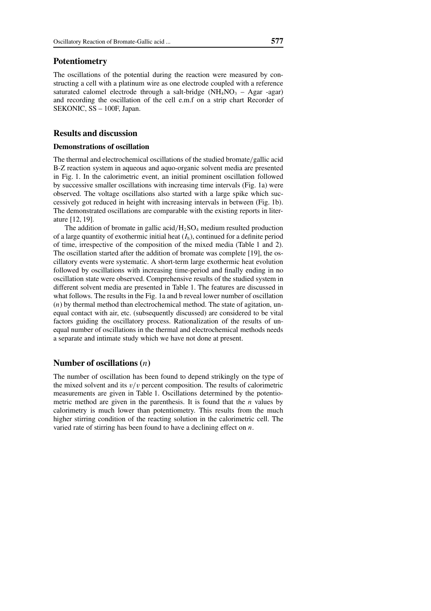#### **Potentiometry**

The oscillations of the potential during the reaction were measured by constructing a cell with a platinum wire as one electrode coupled with a reference saturated calomel electrode through a salt-bridge  $(NH_4NO_3 - Agar -agar)$ and recording the oscillation of the cell e.m.f on a strip chart Recorder of SEKONIC, SS – 100F, Japan.

## **Results and discussion**

#### **Demonstrations of oscillation**

The thermal and electrochemical oscillations of the studied bromate/gallic acid B-Z reaction system in aqueous and aquo-organic solvent media are presented in Fig. 1. In the calorimetric event, an initial prominent oscillation followed by successive smaller oscillations with increasing time intervals (Fig. 1a) were observed. The voltage oscillations also started with a large spike which successively got reduced in height with increasing intervals in between (Fig. 1b). The demonstrated oscillations are comparable with the existing reports in literature [12, 19].

The addition of bromate in gallic acid/ $H_2SO_4$  medium resulted production of a large quantity of exothermic initial heat  $(I_h)$ , continued for a definite period of time, irrespective of the composition of the mixed media (Table 1 and 2). The oscillation started after the addition of bromate was complete [19], the oscillatory events were systematic. A short-term large exothermic heat evolution followed by oscillations with increasing time-period and finally ending in no oscillation state were observed. Comprehensive results of the studied system in different solvent media are presented in Table 1. The features are discussed in what follows. The results in the Fig. 1a and b reveal lower number of oscillation (*n*) by thermal method than electrochemical method. The state of agitation, unequal contact with air, etc. (subsequently discussed) are considered to be vital factors guiding the oscillatory process. Rationalization of the results of unequal number of oscillations in the thermal and electrochemical methods needs a separate and intimate study which we have not done at present.

#### **Number of oscillations (***n***)**

The number of oscillation has been found to depend strikingly on the type of the mixed solvent and its  $v/v$  percent composition. The results of calorimetric measurements are given in Table 1. Oscillations determined by the potentiometric method are given in the parenthesis. It is found that the *n* values by calorimetry is much lower than potentiometry. This results from the much higher stirring condition of the reacting solution in the calorimetric cell. The varied rate of stirring has been found to have a declining effect on *n*.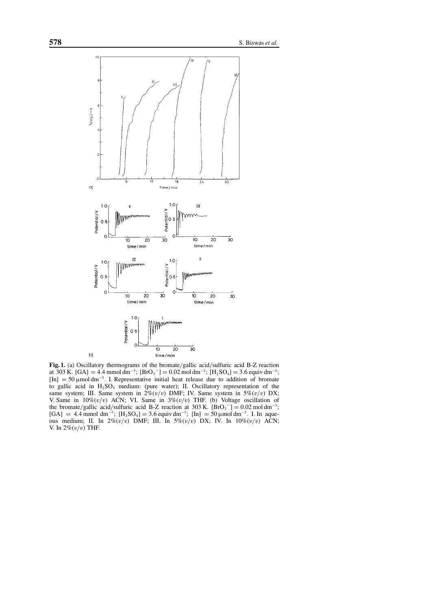

**Fig. 1.** (a) Oscillatory thermograms of the bromate/gallic acid/sulfuric acid B-Z reaction at 303 K. [GA] = 4.4 mmol dm<sup>-3</sup>; [BrO<sub>3</sub><sup>-</sup>] = 0.02 mol dm<sup>-3</sup>; [H<sub>2</sub>SO<sub>4</sub>] = 3.6 equiv dm<sup>-3</sup>;  $[In] = 50 \mu m$ ol dm<sup>-3</sup>. I. Representative initial heat release due to addition of bromate to gallic acid in  $H_2SO_4$  medium: (pure water); II. Oscillatory representation of the same system; III. Same system in  $2\% (v/v)$  DMF; IV. Same system in  $5\% (v/v)$  DX; V. Same in  $10\% (v/v)$  ACN; VI. Same in  $3\% (v/v)$  THF. (b) Voltage oscillation of the bromate/gallic acid/sulfuric acid B-Z reaction at 303 K.  $[\text{Bro}_3^-] = 0.02 \text{ mol dm}^{-3}$ ;  $[GA] = 4.4$  mmol dm<sup>-3</sup>;  $[H_2SO_4] = 3.6$  equiv dm<sup>-3</sup>;  $[H_1] = 50$  µmol dm<sup>-3</sup>. I. In aqueous medium; II. In  $2\% (v/v)$  DMF; III. In  $5\% (v/v)$  DX; IV. In  $10\% (v/v)$  ACN; V. In  $2\% (v/v)$  THF.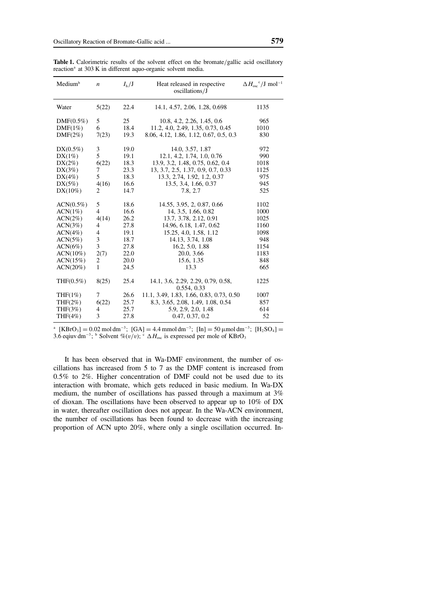| Medium <sup>b</sup> | $\boldsymbol{n}$ | $I_{\rm h}/\rm J$ | Heat released in respective<br>oscillations/J     | $\Delta H_{\rm osc}^{\rm c}/J$ mol <sup>-1</sup> |
|---------------------|------------------|-------------------|---------------------------------------------------|--------------------------------------------------|
| Water               | 5(22)            | 22.4              | 14.1, 4.57, 2.06, 1.28, 0.698                     | 1135                                             |
| $DMF(0.5\%)$        | 5                | 25                | 10.8, 4.2, 2.26, 1.45, 0.6                        | 965                                              |
| DMF(1%)             | 6                | 18.4              | 11.2, 4.0, 2.49, 1.35, 0.73, 0.45                 | 1010                                             |
| $DMF(2\%)$          | 7(23)            | 19.3              | 8.06, 4.12, 1.86, 1.12, 0.67, 0.5, 0.3            | 830                                              |
| $DX(0.5\%)$         | 3                | 19.0              | 14.0, 3.57, 1.87                                  | 972                                              |
| $DX(1\%)$           | 5                | 19.1              | 12.1, 4.2, 1.74, 1.0, 0.76                        | 990                                              |
| $DX(2\%)$           | 6(22)            | 18.3              | 13.9, 3.2, 1.48, 0.75, 0.62, 0.4                  | 1018                                             |
| $DX(3\%)$           | 7                | 23.3              | 13, 3.7, 2.5, 1.37, 0.9, 0.7, 0.33                | 1125                                             |
| $DX(4\%)$           | 5                | 18.3              | 13.3, 2.74, 1.92, 1.2, 0.37                       | 975                                              |
| $DX(5\%)$           | 4(16)            | 16.6              | 13.5, 3.4, 1.66, 0.37                             | 945                                              |
| $DX(10\%)$          | 2                | 14.7              | 7.8, 2.7                                          | 525                                              |
| $ACN(0.5\%)$        | 5                | 18.6              | 14.55, 3.95, 2, 0.87, 0.66                        | 1102                                             |
| ACN(1%)             | $\overline{4}$   | 16.6              | 14, 3.5, 1.66, 0.82                               | 1000                                             |
| $ACN(2\%)$          | 4(14)            | 26.2              | 13.7, 3.78, 2.12, 0.91                            | 1025                                             |
| ACN(3%)             | 4                | 27.8              | 14.96, 6.18, 1.47, 0.62                           | 1160                                             |
| ACN(4%)             | 4                | 19.1              | 15.25, 4.0, 1.58, 1.12                            | 1098                                             |
| ACN(5%)             | 3                | 18.7              | 14.13, 3.74, 1.08                                 | 948                                              |
| ACN(6%)             | 3                | 27.8              | 16.2, 5.0, 1.88                                   | 1154                                             |
| $ACN(10\%)$         | 2(7)             | 22.0              | 20.0, 3.66                                        | 1183                                             |
| ACN(15%)            | 2                | 20.0              | 15.6, 1.35                                        | 848                                              |
| ACN(20%)            | $\mathbf{1}$     | 24.5              | 13.3                                              | 665                                              |
| $THF(0.5\%)$        | 8(25)            | 25.4              | 14.1, 3.6, 2.29, 2.29, 0.79, 0.58,<br>0.554, 0.33 | 1225                                             |
| THF $(1%)$          | 7                | 26.6              | 11.1, 3.49, 1.83, 1.66, 0.83, 0.73, 0.50          | 1007                                             |
| THF $(2\%)$         | 6(22)            | 25.7              | 8.3, 3.65, 2.08, 1.49, 1.08, 0.54                 | 857                                              |
| THF(3%)             | 4                | 25.7              | 5.9, 2.9, 2.0, 1.48                               | 614                                              |
| THF $(4\%)$         | 3                | 27.8              | 0.47, 0.37, 0.2                                   | 52                                               |

Table 1. Calorimetric results of the solvent effect on the bromate/gallic acid oscillatory reaction<sup>a</sup> at 303 K in different aquo-organic solvent media.

<sup>a</sup> [KBrO<sub>3</sub>] = 0.02 mol dm<sup>-3</sup>; [GA] = 4.4 mmol dm<sup>-3</sup>; [In] = 50 µmol dm<sup>-3</sup>; [H<sub>2</sub>SO<sub>4</sub>] = 3.6 eqiuv dm<sup>-3</sup>; <sup>b</sup> Solvent %(v/v); <sup>c</sup> ∆*H*<sub>osc</sub> is expressed per mole of KBrO<sub>3</sub>

It has been observed that in Wa-DMF environment, the number of oscillations has increased from 5 to 7 as the DMF content is increased from 0.5% to 2%. Higher concentration of DMF could not be used due to its interaction with bromate, which gets reduced in basic medium. In Wa-DX medium, the number of oscillations has passed through a maximum at 3% of dioxan. The oscillations have been observed to appear up to 10% of DX in water, thereafter oscillation does not appear. In the Wa-ACN environment, the number of oscillations has been found to decrease with the increasing proportion of ACN upto 20%, where only a single oscillation occurred. In-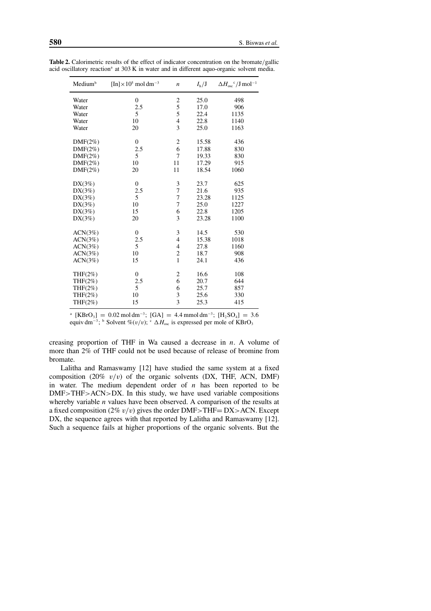| Medium <sup>b</sup> | $[\text{In}]\times10^5 \text{ mol dm}^{-3}$ | $\boldsymbol{n}$         | $I_{\rm h}/\rm J$ | $\Delta H_{\rm osc}^{\rm c}/J$ mol <sup>-1</sup> |
|---------------------|---------------------------------------------|--------------------------|-------------------|--------------------------------------------------|
| Water               | $\theta$                                    | 2                        | 25.0              | 498                                              |
| Water               | 2.5                                         | 5                        | 17.0              | 906                                              |
| Water               | 5                                           | 5                        | 22.4              | 1135                                             |
| Water               | 10                                          | $\overline{\mathcal{L}}$ | 22.8              | 1140                                             |
| Water               | 20                                          | $\overline{3}$           | 25.0              | 1163                                             |
| $DMF(2\%)$          | $\theta$                                    | $\overline{c}$           | 15.58             | 436                                              |
| $DMF(2\%)$          | 2.5                                         | 6                        | 17.88             | 830                                              |
| $DMF(2\%)$          | 5                                           | 7                        | 19.33             | 830                                              |
| $DMF(2\%)$          | 10                                          | 11                       | 17.29             | 915                                              |
| $DMF(2\%)$          | 20                                          | 11                       | 18.54             | 1060                                             |
| $DX(3\%)$           | $\overline{0}$                              | 3                        | 23.7              | 625                                              |
| $DX(3\%)$           | 2.5                                         | $\overline{7}$           | 21.6              | 935                                              |
| $DX(3\%)$           | 5                                           | $\overline{7}$           | 23.28             | 1125                                             |
| DX(3%)              | 10                                          | $\overline{7}$           | 25.0              | 1227                                             |
| $DX(3\%)$           | 15                                          | 6                        | 22.8              | 1205                                             |
| $DX(3\%)$           | 20                                          | 3                        | 23.28             | 1100                                             |
| ACN(3%)             | $\theta$                                    | 3                        | 14.5              | 530                                              |
| ACN(3%)             | 2.5                                         | $\overline{4}$           | 15.38             | 1018                                             |
| ACN(3%)             | 5                                           | 4                        | 27.8              | 1160                                             |
| ACN(3%)             | 10                                          | $\overline{\mathbf{c}}$  | 18.7              | 908                                              |
| ACN(3%)             | 15                                          | $\mathbf{1}$             | 24.1              | 436                                              |
| $THF(2\%)$          | $\theta$                                    | 2                        | 16.6              | 108                                              |
| THF $(2\%)$         | 2.5                                         | 6                        | 20.7              | 644                                              |
| $THF(2\%)$          | 5                                           | 6                        | 25.7              | 857                                              |
| $THF(2\%)$          | 10                                          | 3                        | 25.6              | 330                                              |
| $THF(2\%)$          | 15                                          | $\overline{3}$           | 25.3              | 415                                              |

**Table 2.** Calorimetric results of the effect of indicator concentration on the bromate/gallic acid oscillatory reaction<sup>a</sup> at 303 K in water and in different aquo-organic solvent media.

<sup>a</sup>  $[KBrO_3] = 0.02 \text{ mol dm}^{-3}$ ;  $[GA] = 4.4 \text{ mmol dm}^{-3}$ ;  $[H_2SO_4] = 3.6$ equiv dm<sup>-3</sup>; <sup>b</sup> Solvent %(v/v); <sup>c</sup>  $\Delta H_{\text{osc}}$  is expressed per mole of KBrO<sub>3</sub>

creasing proportion of THF in Wa caused a decrease in *n*. A volume of more than 2% of THF could not be used because of release of bromine from bromate.

Lalitha and Ramaswamy [12] have studied the same system at a fixed composition (20%  $v/v$ ) of the organic solvents (DX, THF, ACN, DMF) in water. The medium dependent order of *n* has been reported to be DMF>THF>ACN>DX. In this study, we have used variable compositions whereby variable *n* values have been observed. A comparison of the results at a fixed composition (2%  $v/v$ ) gives the order DMF>THF= DX>ACN. Except DX, the sequence agrees with that reported by Lalitha and Ramaswamy [12]. Such a sequence fails at higher proportions of the organic solvents. But the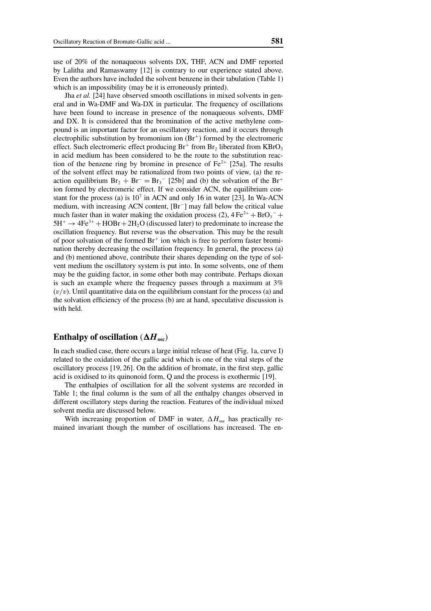use of 20% of the nonaqueous solvents DX, THF, ACN and DMF reported by Lalitha and Ramaswamy [12] is contrary to our experience stated above. Even the authors have included the solvent benzene in their tabulation (Table 1) which is an impossibility (may be it is erroneously printed).

Jha *et al.* [24] have observed smooth oscillations in mixed solvents in general and in Wa-DMF and Wa-DX in particular. The frequency of oscillations have been found to increase in presence of the nonaqueous solvents, DMF and DX. It is considered that the bromination of the active methylene compound is an important factor for an oscillatory reaction, and it occurs through electrophilic substitution by bromonium ion  $(Br^+)$  formed by the electromeric effect. Such electromeric effect producing  $Br^+$  from  $Br_2$  liberated from  $KBrO_3$ in acid medium has been considered to be the route to the substitution reaction of the benzene ring by bromine in presence of  $Fe^{2+}$  [25a]. The results of the solvent effect may be rationalized from two points of view, (a) the reaction equilibrium  $Br_2 + Br^- = Br_3^-$  [25b] and (b) the solvation of the Br<sup>+</sup> ion formed by electromeric effect. If we consider ACN, the equilibrium constant for the process (a) is  $10<sup>7</sup>$  in ACN and only 16 in water [23]. In Wa-ACN medium, with increasing ACN content, [Br<sup>−</sup> ] may fall below the critical value much faster than in water making the oxidation process (2),  $4 \text{Fe}^{2+} + \text{BrO}_3^- +$  $5H^+ \rightarrow 4Fe^{3+} + HOBr + 2H_2O$  (discussed later) to predominate to increase the oscillation frequency. But reverse was the observation. This may be the result of poor solvation of the formed  $Br^+$  ion which is free to perform faster bromination thereby decreasing the oscillation frequency. In general, the process (a) and (b) mentioned above, contribute their shares depending on the type of solvent medium the oscillatory system is put into. In some solvents, one of them may be the guiding factor, in some other both may contribute. Perhaps dioxan is such an example where the frequency passes through a maximum at 3%  $(v/v)$ . Until quantitative data on the equilibrium constant for the process (a) and the solvation efficiency of the process (b) are at hand, speculative discussion is with held.

# **Enthalpy of oscillation** ( $\Delta H_{osc}$ )

In each studied case, there occurs a large initial release of heat (Fig. 1a, curve I) related to the oxidation of the gallic acid which is one of the vital steps of the oscillatory process [19, 26]. On the addition of bromate, in the first step, gallic acid is oxidised to its quinonoid form, Q and the process is exothermic [19].

The enthalpies of oscillation for all the solvent systems are recorded in Table 1; the final column is the sum of all the enthalpy changes observed in different oscillatory steps during the reaction. Features of the individual mixed solvent media are discussed below.

With increasing proportion of DMF in water,  $\Delta H_{\text{osc}}$  has practically remained invariant though the number of oscillations has increased. The en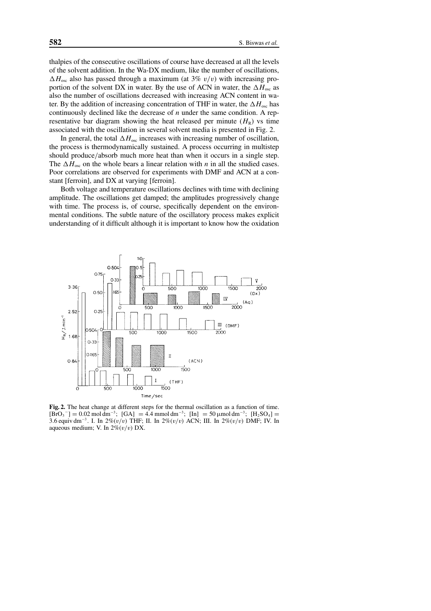thalpies of the consecutive oscillations of course have decreased at all the levels of the solvent addition. In the Wa-DX medium, like the number of oscillations,  $\Delta H_{\rm osc}$  also has passed through a maximum (at 3% v/v) with increasing proportion of the solvent DX in water. By the use of ACN in water, the  $\Delta H_{\text{osc}}$  as also the number of oscillations decreased with increasing ACN content in water. By the addition of increasing concentration of THF in water, the  $\Delta H_{\text{osc}}$  has continuously declined like the decrease of *n* under the same condition. A representative bar diagram showing the heat released per minute  $(H_R)$  vs time associated with the oscillation in several solvent media is presented in Fig. 2.

In general, the total  $\Delta H_{\text{osc}}$  increases with increasing number of oscillation, the process is thermodynamically sustained. A process occurring in multistep should produce/absorb much more heat than when it occurs in a single step. The  $\Delta H_{\text{osc}}$  on the whole bears a linear relation with *n* in all the studied cases. Poor correlations are observed for experiments with DMF and ACN at a constant [ferroin], and DX at varying [ferroin].

Both voltage and temperature oscillations declines with time with declining amplitude. The oscillations get damped; the amplitudes progressively change with time. The process is, of course, specifically dependent on the environmental conditions. The subtle nature of the oscillatory process makes explicit understanding of it difficult although it is important to know how the oxidation



**Fig. 2.** The heat change at different steps for the thermal oscillation as a function of time.  $[BrO_3^-] = 0.02 \text{ mol dm}^{-3}$ ;  $[GA] = 4.4 \text{ mmol dm}^{-3}$ ;  $[In] = 50 \text{ mmol dm}^{-3}$ ;  $[H_2SO_4] =$ 3.6 equiv dm<sup>-3</sup>. I. In 2%(v/v) THF; II. In 2%(v/v) ACN; III. In 2%(v/v) DMF; IV. In aqueous medium; V. In  $2\% (v/v)$  DX.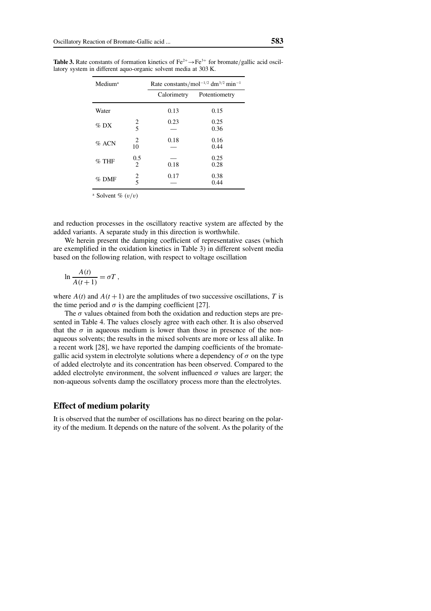| Medium <sup>a</sup> |             | Rate constants/mol <sup>-1/2</sup> dm <sup>3/2</sup> min <sup>-1</sup> |               |  |
|---------------------|-------------|------------------------------------------------------------------------|---------------|--|
|                     |             | Calorimetry                                                            | Potentiometry |  |
| Water               |             | 0.13                                                                   | 0.15          |  |
| $\%$ DX             | $rac{2}{5}$ | 0.23                                                                   | 0.25<br>0.36  |  |
| $%$ ACN             | 2<br>10     | 0.18                                                                   | 0.16<br>0.44  |  |
| $\%$ THF            | 0.5<br>2    | 0.18                                                                   | 0.25<br>0.28  |  |
| $%$ DMF             | $rac{2}{5}$ | 0.17                                                                   | 0.38<br>0.44  |  |

**Table 3.** Rate constants of formation kinetics of  $Fe^{2+} \rightarrow Fe^{3+}$  for bromate/gallic acid oscillatory system in different aquo-organic solvent media at 303 K.

<sup>a</sup> Solvent  $\%$   $(v/v)$ 

and reduction processes in the oscillatory reactive system are affected by the added variants. A separate study in this direction is worthwhile.

We herein present the damping coefficient of representative cases (which are exemplified in the oxidation kinetics in Table 3) in different solvent media based on the following relation, with respect to voltage oscillation

$$
\ln \frac{A(t)}{A(t+1)} = \sigma T \,,
$$

where  $A(t)$  and  $A(t+1)$  are the amplitudes of two successive oscillations, *T* is the time period and  $\sigma$  is the damping coefficient [27].

The  $\sigma$  values obtained from both the oxidation and reduction steps are presented in Table 4. The values closely agree with each other. It is also observed that the  $\sigma$  in aqueous medium is lower than those in presence of the nonaqueous solvents; the results in the mixed solvents are more or less all alike. In a recent work [28], we have reported the damping coefficients of the bromategallic acid system in electrolyte solutions where a dependency of  $\sigma$  on the type of added electrolyte and its concentration has been observed. Compared to the added electrolyte environment, the solvent influenced  $\sigma$  values are larger; the non-aqueous solvents damp the oscillatory process more than the electrolytes.

#### **Effect of medium polarity**

It is observed that the number of oscillations has no direct bearing on the polarity of the medium. It depends on the nature of the solvent. As the polarity of the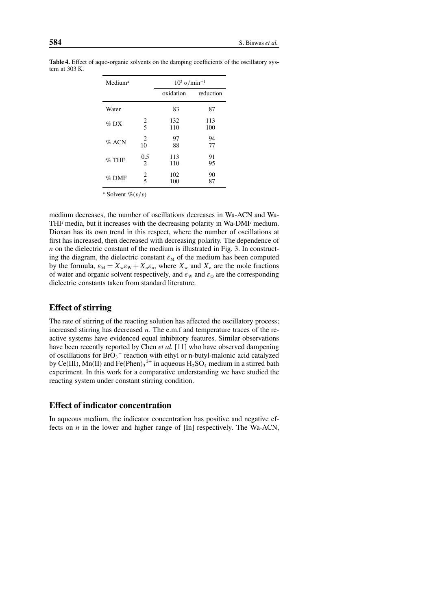| Medium <sup>a</sup> |                       | $10^3 \sigma/min^{-1}$ |            |  |
|---------------------|-----------------------|------------------------|------------|--|
|                     |                       | oxidation              | reduction  |  |
| Water               |                       | 83                     | 87         |  |
| $\%$ DX             | $rac{2}{5}$           | 132<br>110             | 113<br>100 |  |
| $%$ ACN             | 2<br>10               | 97<br>88               | 94<br>77   |  |
| $%$ THF             | 0.5<br>$\overline{2}$ | 113<br>110             | 91<br>95   |  |
| $%$ DMF             | $rac{2}{5}$           | 102<br>100             | 90<br>87   |  |

**Table 4.** Effect of aquo-organic solvents on the damping coefficients of the oscillatory system at 303 K.

<sup>a</sup> Solvent  $\mathcal{C}(v/v)$ 

medium decreases, the number of oscillations decreases in Wa-ACN and Wa-THF media, but it increases with the decreasing polarity in Wa-DMF medium. Dioxan has its own trend in this respect, where the number of oscillations at first has increased, then decreased with decreasing polarity. The dependence of *n* on the dielectric constant of the medium is illustrated in Fig. 3. In constructing the diagram, the dielectric constant  $\varepsilon_M$  of the medium has been computed by the formula,  $\varepsilon_M = X_w \varepsilon_W + X_o \varepsilon_o$ , where  $X_w$  and  $X_o$  are the mole fractions of water and organic solvent respectively, and  $\varepsilon_{\rm W}$  and  $\varepsilon_{\rm O}$  are the corresponding dielectric constants taken from standard literature.

# **Effect of stirring**

The rate of stirring of the reacting solution has affected the oscillatory process; increased stirring has decreased *n*. The e.m.f and temperature traces of the reactive systems have evidenced equal inhibitory features. Similar observations have been recently reported by Chen *et al.* [11] who have observed dampening of oscillations for  $BrO_3^-$  reaction with ethyl or n-butyl-malonic acid catalyzed by Ce(III), Mn(II) and Fe(Phen)<sub>3</sub><sup>2+</sup> in aqueous  $H_2SO_4$  medium in a stirred bath experiment. In this work for a comparative understanding we have studied the reacting system under constant stirring condition.

## **Effect of indicator concentration**

In aqueous medium, the indicator concentration has positive and negative effects on *n* in the lower and higher range of [In] respectively. The Wa-ACN,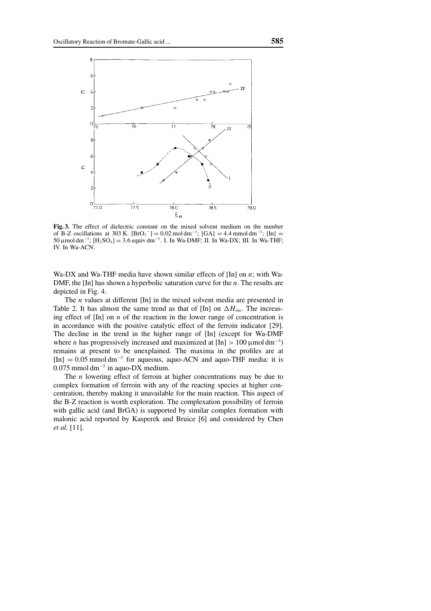

**Fig. 3.** The effect of dielectric constant on the mixed solvent medium on the number of B-Z oscillations at 303 K.  $[\text{BrO}_3^-] = 0.02 \text{ mol dm}^{-3}$ ;  $[\text{GA}] = 4.4 \text{ mmol dm}^{-3}$ ;  $[\text{In}] =$ 50 µmol dm−<sup>3</sup> ; [H2SO4] = 3.6 equiv dm−<sup>3</sup> . I. In Wa-DMF; II. In Wa-DX; III. In Wa-THF; IV. In Wa-ACN.

Wa-DX and Wa-THF media have shown similar effects of [In] on *n*; with Wa-DMF, the [In] has shown a hyperbolic saturation curve for the *n*. The results are depicted in Fig. 4.

The *n* values at different [In] in the mixed solvent media are presented in Table 2. It has almost the same trend as that of [In] on  $\Delta H_{\text{osc}}$ . The increasing effect of [In] on *n* of the reaction in the lower range of concentration is in accordance with the positive catalytic effect of the ferroin indicator [29]. The decline in the trend in the higher range of [In] (except for Wa-DMF where *n* has progressively increased and maximized at  $[In] > 100 \mu$ moldm<sup>-3</sup>) remains at present to be unexplained. The maxima in the profiles are at  $[In] = 0.05$  mmol dm<sup>-3</sup> for aqueous, aquo-ACN and aquo-THF media: it is 0.075 mmol dm<sup>-3</sup> in aquo-DX medium.

The *n* lowering effect of ferroin at higher concentrations may be due to complex formation of ferroin with any of the reacting species at higher concentration, thereby making it unavailable for the main reaction. This aspect of the B-Z reaction is worth exploration. The complexation possibility of ferroin with gallic acid (and BrGA) is supported by similar complex formation with malonic acid reported by Kasperek and Bruice [6] and considered by Chen *et al.* [11].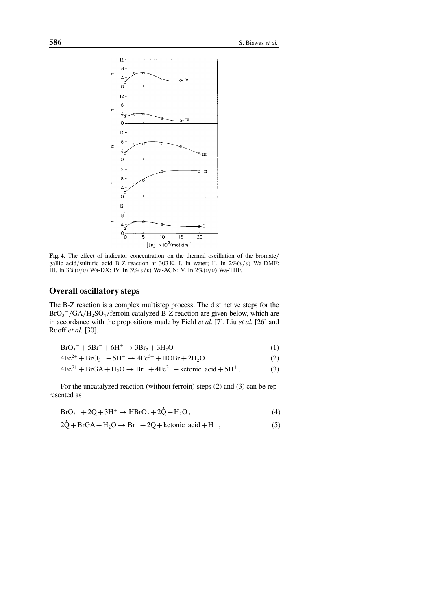

**Fig. 4.** The effect of indicator concentration on the thermal oscillation of the bromate/ gallic acid/sulfuric acid B-Z reaction at 303 K. I. In water; II. In  $2\% (v/v)$  Wa-DMF; III. In  $3\%(v/v)$  Wa-DX; IV. In  $3\%(v/v)$  Wa-ACN; V. In  $2\%(v/v)$  Wa-THF.

#### **Overall oscillatory steps**

The B-Z reaction is a complex multistep process. The distinctive steps for the  $BrO_3^-/GA/H_2SO_4$ /ferroin catalyzed B-Z reaction are given below, which are in accordance with the propositions made by Field *et al.* [7], Liu *et al.* [26] and Ruoff *et al.* [30].

$$
BrO_3^- + 5Br^- + 6H^+ \to 3Br_2 + 3H_2O
$$
 (1)

$$
4Fe^{2+} + BrO_3^- + 5H^+ \rightarrow 4Fe^{3+} + HOBr + 2H_2O
$$
 (2)

$$
4\text{Fe}^{3+} + \text{BrGA} + \text{H}_2\text{O} \rightarrow \text{Br}^- + 4\text{Fe}^{2+} + \text{ketonic acid} + 5\text{H}^+ \,. \tag{3}
$$

For the uncatalyzed reaction (without ferroin) steps (2) and (3) can be represented as

$$
BrO_3^- + 2Q + 3H^+ \to HBrO_2 + 2\dot{Q} + H_2O\,,\tag{4}
$$

$$
2\dot{Q} + BrGA + H_2O \rightarrow Br^- + 2Q + \text{ketonic acid} + H^+, \tag{5}
$$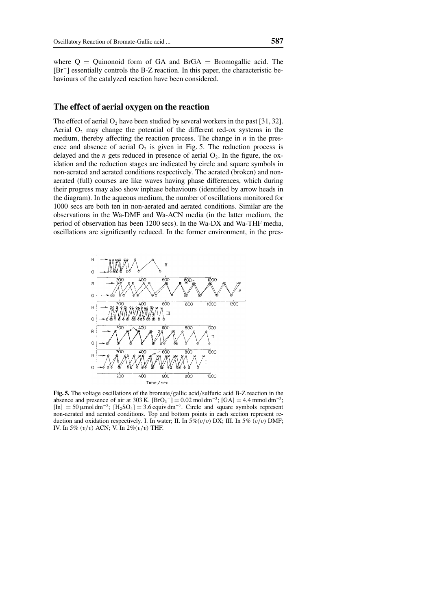where  $Q =$  Quinonoid form of GA and BrGA = Bromogallic acid. The [Br<sup>−</sup> ] essentially controls the B-Z reaction. In this paper, the characteristic behaviours of the catalyzed reaction have been considered.

#### **The effect of aerial oxygen on the reaction**

The effect of aerial  $O_2$  have been studied by several workers in the past [31, 32]. Aerial  $O_2$  may change the potential of the different red-ox systems in the medium, thereby affecting the reaction process. The change in *n* in the presence and absence of aerial  $O_2$  is given in Fig. 5. The reduction process is delayed and the  $n$  gets reduced in presence of aerial  $O_2$ . In the figure, the oxidation and the reduction stages are indicated by circle and square symbols in non-aerated and aerated conditions respectively. The aerated (broken) and nonaerated (full) courses are like waves having phase differences, which during their progress may also show inphase behaviours (identified by arrow heads in the diagram). In the aqueous medium, the number of oscillations monitored for 1000 secs are both ten in non-aerated and aerated conditions. Similar are the observations in the Wa-DMF and Wa-ACN media (in the latter medium, the period of observation has been 1200 secs). In the Wa-DX and Wa-THF media, oscillations are significantly reduced. In the former environment, in the pres-



**Fig. 5.** The voltage oscillations of the bromate/gallic acid/sulfuric acid B-Z reaction in the absence and presence of air at 303 K.  $[\text{BrO}_3^-] = 0.02 \text{ mol dm}^{-3}$ ;  $[\text{GA}] = 4.4 \text{ mmol dm}^{-3}$ ;  $\text{[In]} = 50 \,\text{\mu}$ mol dm<sup>-3</sup>;  $\text{[H}_2\text{SO}_4] = 3.6 \,\text{equiv} \,\text{dm}^{-3}$ . Circle and square symbols represent non-aerated and aerated conditions. Top and bottom points in each section represent reduction and oxidation respectively. I. In water; II. In  $5\% (v/v)$  DX; III. In  $5\% (v/v)$  DMF; IV. In 5%  $(v/v)$  ACN; V. In 2% $(v/v)$  THF.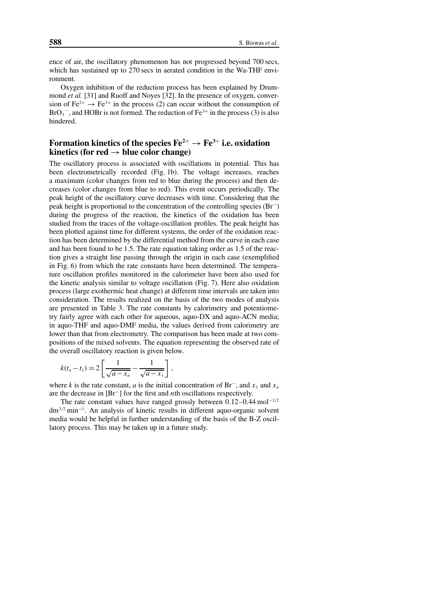ence of air, the oscillatory phenomenon has not progressed beyond 700 secs, which has sustained up to 270 secs in aerated condition in the Wa-THF environment.

Oxygen inhibition of the reduction process has been explained by Drummond *et al.* [31] and Ruoff and Noyes [32]. In the presence of oxygen, conversion of Fe<sup>2+</sup>  $\rightarrow$  Fe<sup>3+</sup> in the process (2) can occur without the consumption of  $BrO_3^-$ , and HOBr is not formed. The reduction of  $Fe^{3+}$  in the process (3) is also hindered.

## Formation kinetics of the species  $Fe^{2+} \rightarrow Fe^{3+}$  i.e. oxidation **kinetics (for red**  $\rightarrow$  **blue color change)**

The oscillatory process is associated with oscillations in potential. This has been electrometrically recorded (Fig. 1b). The voltage increases, reaches a maximum (color changes from red to blue during the process) and then decreases (color changes from blue to red). This event occurs periodically. The peak height of the oscillatory curve decreases with time. Considering that the peak height is proportional to the concentration of the controlling species (Br<sup>−</sup> ) during the progress of the reaction, the kinetics of the oxidation has been studied from the traces of the voltage-oscillation profiles. The peak height has been plotted against time for different systems, the order of the oxidation reaction has been determined by the differential method from the curve in each case and has been found to be 1.5. The rate equation taking order as 1.5 of the reaction gives a straight line passing through the origin in each case (exemplified in Fig. 6) from which the rate constants have been determined. The temperature oscillation profiles monitored in the calorimeter have been also used for the kinetic analysis similar to voltage oscillation (Fig. 7). Here also oxidation process (large exothermic heat change) at different time intervals are taken into consideration. The results realized on the basis of the two modes of analysis are presented in Table 3. The rate constants by calorimetry and potentiometry fairly agree with each other for aqueous, aquo-DX and aquo-ACN media; in aquo-THF and aquo-DMF media, the values derived from calorimetry are lower than that from electrometry. The comparison has been made at two compositions of the mixed solvents. The equation representing the observed rate of the overall oscillatory reaction is given below.

$$
k(t_n - t_1) = 2 \left[ \frac{1}{\sqrt{a - x_n}} - \frac{1}{\sqrt{a - x_1}} \right],
$$

where *k* is the rate constant, *a* is the initial concentration of Br<sup>-</sup>, and  $x_1$  and  $x_n$ are the decrease in [Br<sup>−</sup> ] for the first and *n*th oscillations respectively.

The rate constant values have ranged grossly between  $0.12-0.44$  mol<sup>-1/2</sup> dm<sup>3</sup>/<sup>2</sup> min−<sup>1</sup> . An analysis of kinetic results in different aquo-organic solvent media would be helpful in further understanding of the basis of the B-Z oscillatory process. This may be taken up in a future study.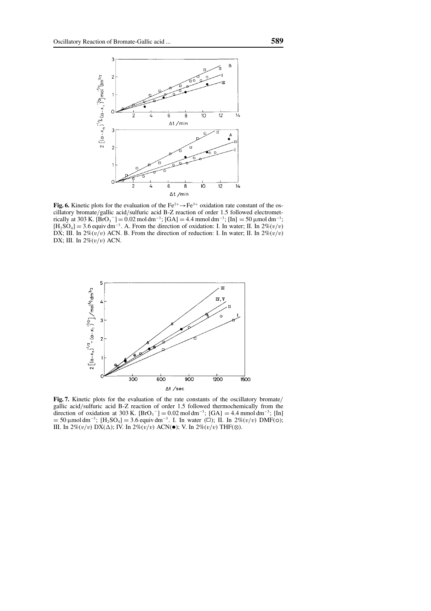

**Fig. 6.** Kinetic plots for the evaluation of the Fe<sup>2+</sup> $\rightarrow$ Fe<sup>3+</sup> oxidation rate constant of the oscillatory bromate/gallic acid/sulfuric acid B-Z reaction of order 1.5 followed electrometrically at 303 K. [BrO<sub>3</sub> <sup>-</sup>] = 0.02 mol dm<sup>-3</sup>; [GA] = 4.4 mmol dm<sup>-3</sup>; [In] = 50 µmol dm<sup>-3</sup>;<br>[H] SQ <sub>1</sub> - 2.6 [H]  $\frac{3}{2}$  + F<sub>1</sub> + F<sub>1</sub> + F<sub>1</sub> + F<sub>1</sub> + F<sub>1</sub> + F<sub>1</sub> + F<sub>1</sub> + F<sub>1</sub> + F<sub>1</sub> + F<sub>1</sub> + F<sub>1</sub> + F<sub>1</sub> + F<sub>1</sub> +  $[H_2SO_4] = 3.6$  equiv dm<sup>-3</sup>. A. From the direction of oxidation: I. In water; II. In  $2\% (v/v)$ DX; III. In  $2\%(v/v)$  ACN. B. From the direction of reduction: I. In water; II. In  $2\%(v/v)$ DX; III. In  $2\% (v/v)$  ACN.



Fig. 7. Kinetic plots for the evaluation of the rate constants of the oscillatory bromate/ gallic acid/sulfuric acid B-Z reaction of order 1.5 followed thermochemically from the direction of oxidation at 303 K.  $[\text{BrO}_3^-] = 0.02 \text{ mol dm}^{-3}$ ;  $[\text{GA}] = 4.4 \text{ mmol dm}^{-3}$ ;  $[\text{In}]$ = 50 µmol dm<sup>-3</sup>; [H<sub>2</sub>SO<sub>4</sub>] = 3.6 equiv dm<sup>-3</sup>. I. In water (□); II. In 2%(v/v) DMF(○);<br>III. In 2%(v/v) DX(A): IV. In 2%(v/v) ACN(●); V. In 2%(v/v) THE(⊗) III. In 2% $(v/v)$  DX( $\Delta$ ); IV. In 2% $(v/v)$  ACN( $\bullet$ ); V. In 2% $(v/v)$  THF( $\otimes$ ).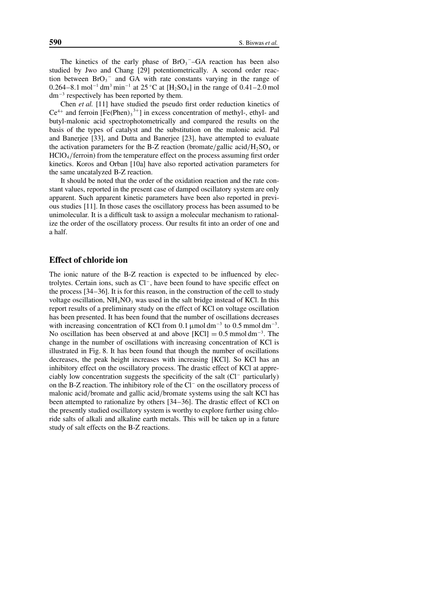The kinetics of the early phase of  $BrO<sub>3</sub>$ <sup>-</sup>-GA reaction has been also studied by Jwo and Chang [29] potentiometrically. A second order reaction between  $BrO_3^-$  and GA with rate constants varying in the range of 0.264–8.1 mol<sup>-1</sup> dm<sup>3</sup> min<sup>-1</sup> at 25 °C at [H<sub>2</sub>SO<sub>4</sub>] in the range of 0.41–2.0 mol dm−<sup>3</sup> respectively has been reported by them.

Chen *et al.* [11] have studied the pseudo first order reduction kinetics of  $Ce^{4+}$  and ferroin  $[Fe(Phen)<sub>3</sub><sup>3+</sup>]$  in excess concentration of methyl-, ethyl- and butyl-malonic acid spectrophotometrically and compared the results on the basis of the types of catalyst and the substitution on the malonic acid. Pal and Banerjee [33], and Dutta and Banerjee [23], have attempted to evaluate the activation parameters for the B-Z reaction (bromate/gallic acid/ $H_2SO_4$  or  $HClO<sub>4</sub>/ferroin)$  from the temperature effect on the process assuming first order kinetics. Koros and Orban [10a] have also reported activation parameters for the same uncatalyzed B-Z reaction.

It should be noted that the order of the oxidation reaction and the rate constant values, reported in the present case of damped oscillatory system are only apparent. Such apparent kinetic parameters have been also reported in previous studies [11]. In those cases the oscillatory process has been assumed to be unimolecular. It is a difficult task to assign a molecular mechanism to rationalize the order of the oscillatory process. Our results fit into an order of one and a half.

## **Effect of chloride ion**

The ionic nature of the B-Z reaction is expected to be influenced by electrolytes. Certain ions, such as Cl<sup>−</sup> , have been found to have specific effect on the process [34–36]. It is for this reason, in the construction of the cell to study voltage oscillation,  $NH<sub>4</sub>NO<sub>3</sub>$  was used in the salt bridge instead of KCl. In this report results of a preliminary study on the effect of KCl on voltage oscillation has been presented. It has been found that the number of oscillations decreases with increasing concentration of KCl from 0.1  $\mu$ mol dm<sup>-3</sup> to 0.5 mmol dm<sup>-3</sup>. No oscillation has been observed at and above  $[KCI] = 0.5$  mmol dm<sup>-3</sup>. The change in the number of oscillations with increasing concentration of KCl is illustrated in Fig. 8. It has been found that though the number of oscillations decreases, the peak height increases with increasing [KCl]. So KCl has an inhibitory effect on the oscillatory process. The drastic effect of KCl at appreciably low concentration suggests the specificity of the salt (Cl<sup>−</sup> particularly) on the B-Z reaction. The inhibitory role of the Cl<sup>−</sup> on the oscillatory process of malonic acid/bromate and gallic acid/bromate systems using the salt KCl has been attempted to rationalize by others [34–36]. The drastic effect of KCl on the presently studied oscillatory system is worthy to explore further using chloride salts of alkali and alkaline earth metals. This will be taken up in a future study of salt effects on the B-Z reactions.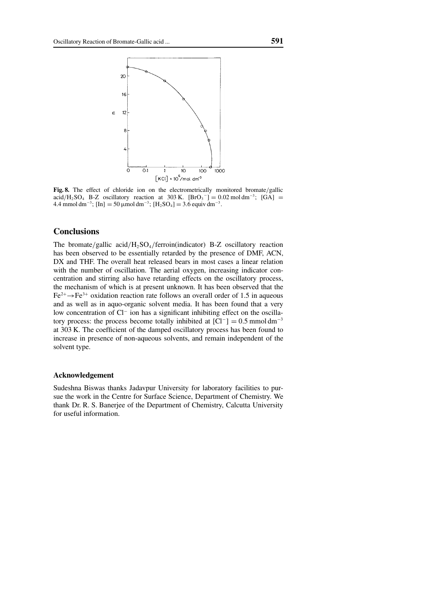

**Fig. 8.** The effect of chloride ion on the electrometrically monitored bromate/gallic  $\ar{ad}H_2SO_4$  B-Z oscillatory reaction at 303 K.  $[BrO_3^-] = 0.02 \text{ mol dm}^{-3}$ ;  $[GA] =$ 4.4 mmol dm<sup>-3</sup>; [In] = 50 μmol dm<sup>-3</sup>; [H<sub>2</sub>SO<sub>4</sub>] = 3.6 equiv dm<sup>-3</sup>.

#### **Conclusions**

The bromate/gallic acid/H<sub>2</sub>SO<sub>4</sub>/ferroin(indicator) B-Z oscillatory reaction has been observed to be essentially retarded by the presence of DMF, ACN, DX and THF. The overall heat released bears in most cases a linear relation with the number of oscillation. The aerial oxygen, increasing indicator concentration and stirring also have retarding effects on the oscillatory process, the mechanism of which is at present unknown. It has been observed that the  $Fe^{2+} \rightarrow Fe^{3+}$  oxidation reaction rate follows an overall order of 1.5 in aqueous and as well as in aquo-organic solvent media. It has been found that a very low concentration of Cl<sup>−</sup> ion has a significant inhibiting effect on the oscillatory process: the process become totally inhibited at  $[Cl^-] = 0.5$  mmol dm<sup>-3</sup> at 303 K. The coefficient of the damped oscillatory process has been found to increase in presence of non-aqueous solvents, and remain independent of the solvent type.

#### **Acknowledgement**

Sudeshna Biswas thanks Jadavpur University for laboratory facilities to pursue the work in the Centre for Surface Science, Department of Chemistry. We thank Dr. R. S. Banerjee of the Department of Chemistry, Calcutta University for useful information.